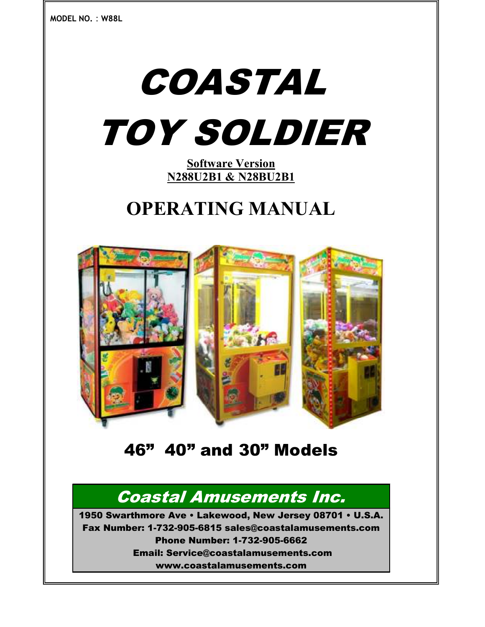# COASTAL TOY SOLDIER

**Software Version N288U2B1 & N28BU2B1** 

# **OPERATING MANUAL**



# 46" 40" and 30" Models

# Coastal Amusements Inc.

1950 Swarthmore Ave • Lakewood, New Jersey 08701 • U.S.A. Fax Number: 1-732-905-6815 sales@coastalamusements.com Phone Number: 1-732-905-6662 Email: Service@coastalamusements.com www.coastalamusements.com

**1**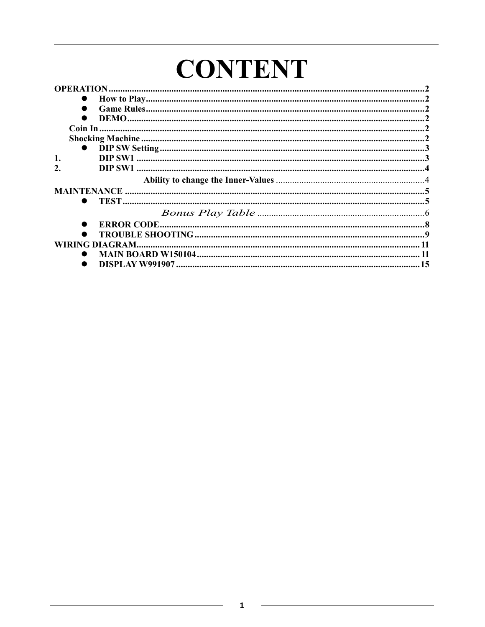# **CONTENT**

| 1.           |  |
|--------------|--|
| $\mathbf{2}$ |  |
|              |  |
|              |  |
| $\bullet$    |  |
|              |  |
|              |  |
|              |  |
|              |  |
|              |  |
|              |  |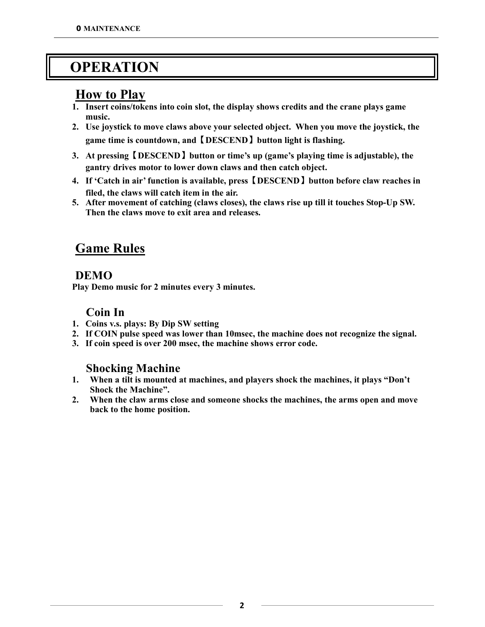# **OPERATION**

#### **How to Play**

- **1. Insert coins/tokens into coin slot, the display shows credits and the crane plays game music.**
- **2. Use joystick to move claws above your selected object. When you move the joystick, the game time is countdown, and【DESCEND】button light is flashing.**
- **3. At pressing【DESCEND】button or time's up (game's playing time is adjustable), the gantry drives motor to lower down claws and then catch object.**
- **4. If 'Catch in air' function is available, press【DESCEND】button before claw reaches in filed, the claws will catch item in the air.**
- **5. After movement of catching (claws closes), the claws rise up till it touches Stop-Up SW. Then the claws move to exit area and releases.**

#### **Game Rules**

#### **DEMO**

**Play Demo music for 2 minutes every 3 minutes.** 

#### **Coin In**

- **1. Coins v.s. plays: By Dip SW setting**
- **2. If COIN pulse speed was lower than 10msec, the machine does not recognize the signal.**
- **3. If coin speed is over 200 msec, the machine shows error code.**

#### **Shocking Machine**

- **1. When a tilt is mounted at machines, and players shock the machines, it plays "Don't Shock the Machine".**
- **2. When the claw arms close and someone shocks the machines, the arms open and move back to the home position.**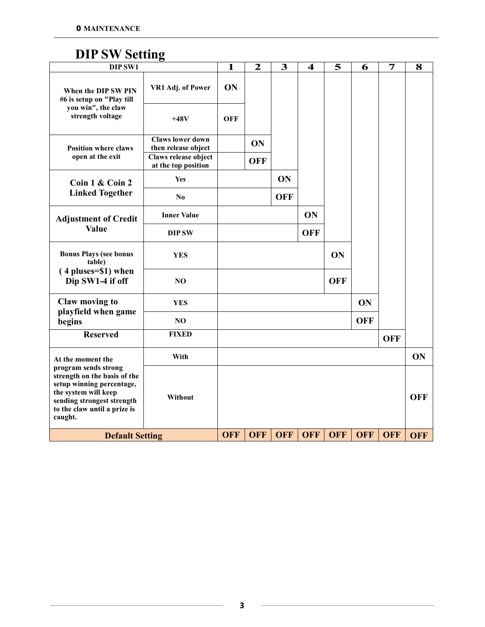#### **DIP SW Setting**

| DIP SW1                                                                                                                                                                            |                                                | $\mathbf{1}$ | $\overline{2}$ | 3          | $\overline{\mathbf{4}}$ | 5          | 6          | $\overline{7}$ | 8          |
|------------------------------------------------------------------------------------------------------------------------------------------------------------------------------------|------------------------------------------------|--------------|----------------|------------|-------------------------|------------|------------|----------------|------------|
| When the DIP SW PIN<br>#6 is setup on "Play till                                                                                                                                   | VR1 Adj. of Power                              | ON           |                |            |                         |            |            |                |            |
| you win", the claw<br>strength voltage                                                                                                                                             | $+48V$                                         | <b>OFF</b>   |                |            |                         |            |            |                |            |
| <b>Position where claws</b>                                                                                                                                                        | <b>Claws lower down</b><br>then release object |              | ON             |            |                         |            |            |                |            |
| open at the exit                                                                                                                                                                   | Claws release object<br>at the top position    |              | <b>OFF</b>     |            |                         |            |            |                |            |
| Coin 1 & Coin 2                                                                                                                                                                    | <b>Yes</b>                                     |              |                | ON         |                         |            |            |                |            |
| <b>Linked Together</b>                                                                                                                                                             | $\bf No$                                       |              |                | <b>OFF</b> |                         |            |            |                |            |
| <b>Adjustment of Credit</b>                                                                                                                                                        | <b>Inner Value</b>                             |              |                |            | ON                      |            |            |                |            |
| <b>Value</b>                                                                                                                                                                       | <b>DIP SW</b>                                  |              |                |            | <b>OFF</b>              |            |            |                |            |
| <b>Bonus Plays (see bonus</b><br>table)                                                                                                                                            | <b>YES</b>                                     |              |                |            |                         | ON         |            |                |            |
| (4 pluses=\$1) when<br>Dip SW1-4 if off                                                                                                                                            | NO.                                            |              |                |            |                         | <b>OFF</b> |            |                |            |
| Claw moving to<br>playfield when game                                                                                                                                              | <b>YES</b>                                     |              |                |            |                         |            | ON         |                |            |
| begins                                                                                                                                                                             | N <sub>O</sub>                                 |              |                |            |                         |            | <b>OFF</b> |                |            |
| <b>Reserved</b>                                                                                                                                                                    | <b>FIXED</b>                                   |              |                |            |                         |            |            | <b>OFF</b>     |            |
| At the moment the                                                                                                                                                                  | With                                           |              |                |            |                         |            |            |                | ON         |
| program sends strong<br>strength on the basis of the<br>setup winning percentage,<br>the system will keep<br>sending strongest strength<br>to the claw until a prize is<br>caught. | Without                                        |              |                |            |                         |            |            |                | <b>OFF</b> |
| <b>Default Setting</b>                                                                                                                                                             |                                                | <b>OFF</b>   | <b>OFF</b>     | <b>OFF</b> | <b>OFF</b>              | <b>OFF</b> | <b>OFF</b> | <b>OFF</b>     | <b>OFF</b> |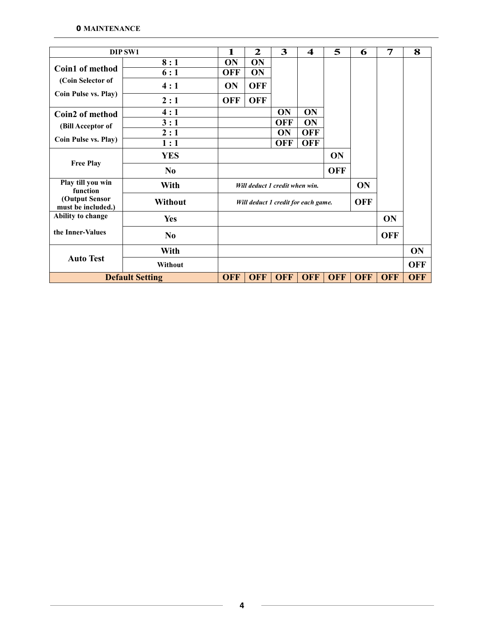|                                      | DIP SW1                | 1                                                 | $\mathbf{2}$                   | 3          | $\boldsymbol{4}$ | 5          | 6          | 7          | 8          |
|--------------------------------------|------------------------|---------------------------------------------------|--------------------------------|------------|------------------|------------|------------|------------|------------|
|                                      | 8:1                    | ON                                                | ON                             |            |                  |            |            |            |            |
| Coin1 of method                      | 6:1                    | <b>OFF</b>                                        | <b>ON</b>                      |            |                  |            |            |            |            |
| (Coin Selector of                    | 4:1                    | ON                                                | <b>OFF</b>                     |            |                  |            |            |            |            |
| Coin Pulse vs. Play)                 | 2:1                    | <b>OFF</b>                                        | <b>OFF</b>                     |            |                  |            |            |            |            |
| Coin2 of method                      | 4:1                    |                                                   |                                | ON         | ON               |            |            |            |            |
| (Bill Acceptor of                    | 3:1                    |                                                   |                                | <b>OFF</b> | ON               |            |            |            |            |
|                                      | 2:1                    |                                                   |                                | ON         | <b>OFF</b>       |            |            |            |            |
| Coin Pulse vs. Play)                 | 1:1                    |                                                   |                                | <b>OFF</b> | <b>OFF</b>       |            |            |            |            |
| <b>Free Play</b>                     | <b>YES</b>             |                                                   |                                |            |                  | <b>ON</b>  |            |            |            |
|                                      | N <sub>0</sub>         |                                                   |                                |            |                  | <b>OFF</b> |            |            |            |
| Play till you win<br>function        | With                   |                                                   | Will deduct 1 credit when win. |            |                  |            | <b>ON</b>  |            |            |
| (Output Sensor<br>must be included.) | <b>Without</b>         | <b>OFF</b><br>Will deduct 1 credit for each game. |                                |            |                  |            |            |            |            |
| Ability to change                    | <b>Yes</b>             |                                                   |                                |            |                  |            |            | <b>ON</b>  |            |
| the Inner-Values                     | N <sub>0</sub>         |                                                   |                                |            |                  |            |            | <b>OFF</b> |            |
| <b>Auto Test</b>                     | With                   |                                                   |                                |            |                  |            |            |            | <b>ON</b>  |
|                                      | Without                |                                                   |                                |            |                  |            |            |            | <b>OFF</b> |
|                                      | <b>Default Setting</b> | <b>OFF</b>                                        | <b>OFF</b>                     | <b>OFF</b> | <b>OFF</b>       | <b>OFF</b> | <b>OFF</b> | <b>OFF</b> | <b>OFF</b> |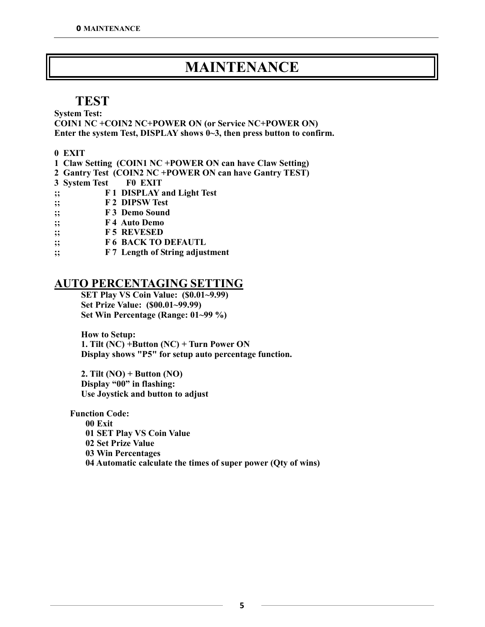#### **MAINTENANCE**

#### **TEST**

**System Test: COIN1 NC +COIN2 NC+POWER ON (or Service NC+POWER ON) Enter the system Test, DISPLAY shows 0~3, then press button to confirm.** 

#### **0 EXIT**

- **1 Claw Setting (COIN1 NC +POWER ON can have Claw Setting)**
- **2 Gantry Test (COIN2 NC +POWER ON can have Gantry TEST)**
- **3 System Test F0 EXIT**
- **;; F 1 DISPLAY and Light Test**
- **;; F 2 DIPSW Test**
- **;; F 3 Demo Sound**
- **;; F 4 Auto Demo**
- **;; F 5 REVESED**
- **;; F 6 BACK TO DEFAUTL**
- **;; F 7 Length of String adjustment**

#### **AUTO PERCENTAGING SETTING**

**SET Play VS Coin Value: (\$0.01~9.99) Set Prize Value: (\$00.01~99.99) Set Win Percentage (Range: 01~99 %)** 

**How to Setup: 1. Tilt (NC) +Button (NC) + Turn Power ON Display shows "P5" for setup auto percentage function.** 

**2. Tilt (NO) + Button (NO) Display "00" in flashing: Use Joystick and button to adjust** 

 **Function Code: 00 Exit 01 SET Play VS Coin Value 02 Set Prize Value 03 Win Percentages 04 Automatic calculate the times of super power (Qty of wins)**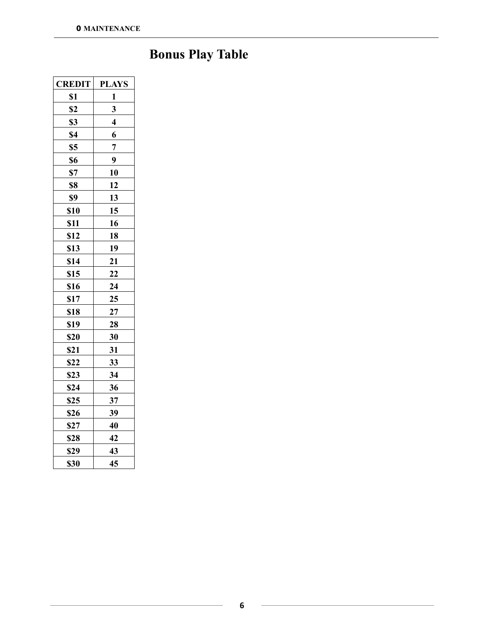$\overline{\phantom{a}}$ 

## **Bonus Play Table**

| <b>CREDIT</b> | <b>PLAYS</b>            |
|---------------|-------------------------|
| \$1           | $\mathbf{1}$            |
| \$2           | $\overline{\mathbf{3}}$ |
| \$3           | 4                       |
| \$4           | 6                       |
| \$5           | 7                       |
| \$6           | 9                       |
| \$7           | 10                      |
| \$8           | 12                      |
| \$9           | 13                      |
| \$10          | 15                      |
| \$11          | 16                      |
| \$12          | 18                      |
| \$13          | 19                      |
| \$14          | 21                      |
| \$15          | 22                      |
| \$16          | 24                      |
| \$17          | 25                      |
| \$18          | 27                      |
| \$19          | 28                      |
| \$20          | 30                      |
| \$21          | 31                      |
| \$22          | 33                      |
| \$23          | 34                      |
| \$24          | 36                      |
| \$25          | 37                      |
| \$26          | 39                      |
| \$27          | 40                      |
| \$28          | 42                      |
| \$29          | 43                      |
| \$30          | 45                      |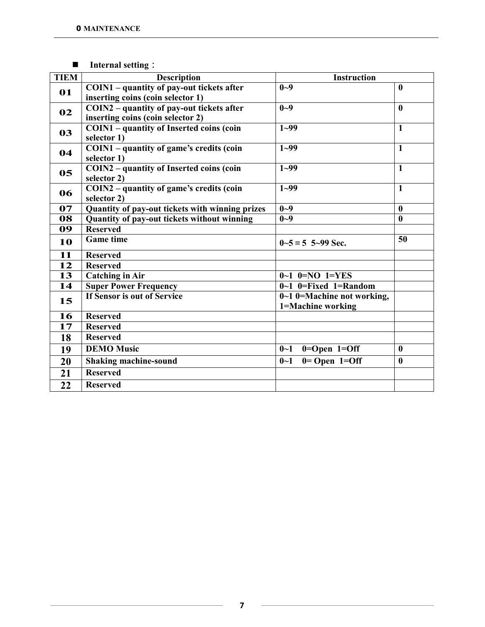| <b>TIEM</b>     | <b>Description</b>                                             | <b>Instruction</b>          |                  |
|-----------------|----------------------------------------------------------------|-----------------------------|------------------|
| 01              | COIN1 – quantity of pay-out tickets after                      | $0 - 9$                     | $\boldsymbol{0}$ |
|                 | inserting coins (coin selector 1)                              |                             |                  |
| 02              | COIN2 - quantity of pay-out tickets after                      | $0 - 9$                     | $\mathbf{0}$     |
|                 | inserting coins (coin selector 2)                              |                             |                  |
| 03              | <b>COIN1</b> - quantity of Inserted coins (coin                | $1 - 99$                    | 1                |
|                 | selector 1)                                                    |                             |                  |
| 04              | COIN1 – quantity of game's credits (coin                       | $1 - 99$                    | $\mathbf{1}$     |
|                 | selector 1)                                                    |                             |                  |
| 05              | COIN2 - quantity of Inserted coins (coin                       | $1 - 99$                    | $\mathbf{1}$     |
|                 | selector 2)                                                    |                             |                  |
| 06              | COIN2 – quantity of game's credits (coin                       | $1 - 99$                    | $\mathbf{1}$     |
|                 | selector 2)                                                    |                             |                  |
| 07              | Quantity of pay-out tickets with winning prizes                | $0 - 9$                     | $\boldsymbol{0}$ |
| 08              | Quantity of pay-out tickets without winning<br><b>Reserved</b> | $0 - 9$                     | $\boldsymbol{0}$ |
| 09              | <b>Game</b> time                                               |                             | 50               |
| 10              |                                                                | $0 - 5 = 5$ 5 - 99 Sec.     |                  |
| 11              | <b>Reserved</b>                                                |                             |                  |
| 12              | <b>Reserved</b>                                                |                             |                  |
| $\overline{13}$ | <b>Catching in Air</b>                                         | $0 - 1$ $0 = NO$ $1 = YES$  |                  |
| $\overline{14}$ | <b>Super Power Frequency</b>                                   | $0-1$ 0=Fixed 1=Random      |                  |
| 15              | If Sensor is out of Service                                    | 0~1 0=Machine not working,  |                  |
|                 |                                                                | 1=Machine working           |                  |
| 16              | <b>Reserved</b>                                                |                             |                  |
| 17              | <b>Reserved</b>                                                |                             |                  |
| 18              | <b>Reserved</b>                                                |                             |                  |
| 19              | <b>DEMO</b> Music                                              | $0 - 1$<br>$0 = Open$ 1=Off | $\bf{0}$         |
| 20              | <b>Shaking machine-sound</b>                                   | $0=$ Open 1=Off<br>$0 - 1$  | $\boldsymbol{0}$ |
| 21              | <b>Reserved</b>                                                |                             |                  |
| 22              | <b>Reserved</b>                                                |                             |                  |
|                 |                                                                |                             |                  |

#### - **Internal setting:**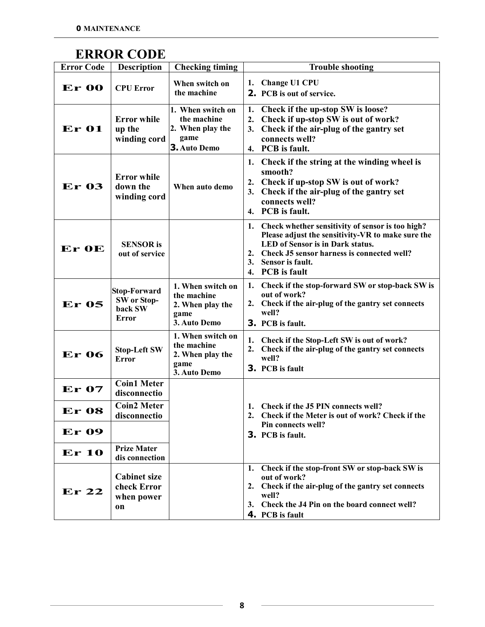|                   | ERROR CODE                                                    |                                                                                     |                                                                                                                                                                                                                                                                                 |
|-------------------|---------------------------------------------------------------|-------------------------------------------------------------------------------------|---------------------------------------------------------------------------------------------------------------------------------------------------------------------------------------------------------------------------------------------------------------------------------|
| <b>Error Code</b> | <b>Description</b>                                            | <b>Checking timing</b>                                                              | <b>Trouble shooting</b>                                                                                                                                                                                                                                                         |
| $Er 00$           | <b>CPU</b> Error                                              | When switch on<br>the machine                                                       | 1. Change U1 CPU<br><b>2.</b> PCB is out of service.                                                                                                                                                                                                                            |
| Er <sub>01</sub>  | <b>Error while</b><br>up the<br>winding cord                  | 1. When switch on<br>the machine<br>2. When play the<br>game<br><b>3.</b> Auto Demo | Check if the up-stop SW is loose?<br>1.<br>Check if up-stop SW is out of work?<br>2.<br>Check if the air-plug of the gantry set<br>3.<br>connects well?<br><b>PCB</b> is fault.<br>$\overline{4}$ .                                                                             |
| Er <sub>03</sub>  | <b>Error</b> while<br>down the<br>winding cord                | When auto demo                                                                      | Check if the string at the winding wheel is<br>1.<br>smooth?<br>Check if up-stop SW is out of work?<br>2.<br>Check if the air-plug of the gantry set<br>3.<br>connects well?<br><b>PCB</b> is fault.<br>$\overline{4}$ .                                                        |
| Er OE             | <b>SENSOR</b> is<br>out of service                            |                                                                                     | Check whether sensitivity of sensor is too high?<br>1.<br>Please adjust the sensitivity-VR to make sure the<br><b>LED</b> of Sensor is in Dark status.<br>Check J5 sensor harness is connected well?<br>2.<br>Sensor is fault.<br>3.<br><b>PCB</b> is fault<br>$\overline{4}$ . |
| $Er$ 05           | <b>Stop-Forward</b><br>SW or Stop-<br>back SW<br><b>Error</b> | 1. When switch on<br>the machine<br>2. When play the<br>game<br>3. Auto Demo        | 1.<br>Check if the stop-forward SW or stop-back SW is<br>out of work?<br>2. Check if the air-plug of the gantry set connects<br>well?<br><b>3.</b> PCB is fault.                                                                                                                |
| <b>Er 06</b>      | <b>Stop-Left SW</b><br><b>Error</b>                           | 1. When switch on<br>the machine<br>2. When play the<br>game<br>3. Auto Demo        | 1.<br>Check if the Stop-Left SW is out of work?<br>Check if the air-plug of the gantry set connects<br>2.<br>well?<br>3. PCB is fault                                                                                                                                           |
| Er 07             | <b>Coin1</b> Meter<br>disconnectio                            |                                                                                     |                                                                                                                                                                                                                                                                                 |
| Er 08             | <b>Coin2 Meter</b><br>disconnectio                            |                                                                                     | 1. Check if the J5 PIN connects well?<br>2. Check if the Meter is out of work? Check if the                                                                                                                                                                                     |
| <b>Er 09</b>      |                                                               |                                                                                     | Pin connects well?<br><b>3.</b> PCB is fault.                                                                                                                                                                                                                                   |
| Er10              | <b>Prize Mater</b><br>dis connection                          |                                                                                     |                                                                                                                                                                                                                                                                                 |
| Er <sub>22</sub>  | <b>Cabinet size</b><br>check Error<br>when power<br>on        |                                                                                     | Check if the stop-front SW or stop-back SW is<br>1.<br>out of work?<br>Check if the air-plug of the gantry set connects<br>2.<br>well?<br>3. Check the J4 Pin on the board connect well?<br>4. PCB is fault                                                                     |

### **ERROR CODE**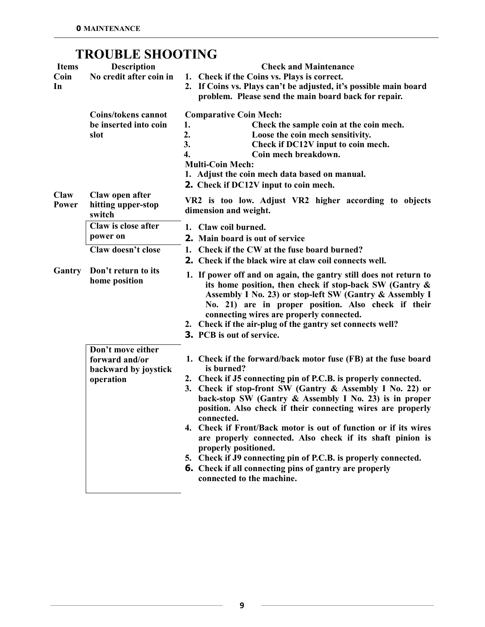#### **TROUBLE SHOOTING**

| <b>Items</b>         | <b>Description</b>                              | <b>Check and Maintenance</b>                                                                                                                                                                                                                                                               |
|----------------------|-------------------------------------------------|--------------------------------------------------------------------------------------------------------------------------------------------------------------------------------------------------------------------------------------------------------------------------------------------|
| Coin                 | No credit after coin in                         | 1. Check if the Coins vs. Plays is correct.                                                                                                                                                                                                                                                |
| In                   |                                                 | 2. If Coins vs. Plays can't be adjusted, it's possible main board                                                                                                                                                                                                                          |
|                      |                                                 | problem. Please send the main board back for repair.                                                                                                                                                                                                                                       |
|                      | Coins/tokens cannot                             | <b>Comparative Coin Mech:</b>                                                                                                                                                                                                                                                              |
|                      | be inserted into coin                           | 1.<br>Check the sample coin at the coin mech.                                                                                                                                                                                                                                              |
|                      | slot                                            | 2.<br>Loose the coin mech sensitivity.                                                                                                                                                                                                                                                     |
|                      |                                                 | 3.<br>Check if DC12V input to coin mech.                                                                                                                                                                                                                                                   |
|                      |                                                 | Coin mech breakdown.<br>4.                                                                                                                                                                                                                                                                 |
|                      |                                                 | <b>Multi-Coin Mech:</b>                                                                                                                                                                                                                                                                    |
|                      |                                                 | 1. Adjust the coin mech data based on manual.                                                                                                                                                                                                                                              |
|                      |                                                 | 2. Check if DC12V input to coin mech.                                                                                                                                                                                                                                                      |
| <b>Claw</b><br>Power | Claw open after<br>hitting upper-stop<br>switch | VR2 is too low. Adjust VR2 higher according to objects<br>dimension and weight.                                                                                                                                                                                                            |
|                      | Claw is close after                             | 1. Claw coil burned.                                                                                                                                                                                                                                                                       |
|                      | power on                                        | 2. Main board is out of service                                                                                                                                                                                                                                                            |
|                      | Claw doesn't close                              | Check if the CW at the fuse board burned?<br>1.                                                                                                                                                                                                                                            |
|                      |                                                 | <b>2.</b> Check if the black wire at claw coil connects well.                                                                                                                                                                                                                              |
| Gantry               | Don't return to its                             |                                                                                                                                                                                                                                                                                            |
|                      | home position                                   | 1. If power off and on again, the gantry still does not return to<br>its home position, then check if stop-back SW (Gantry &<br>Assembly I No. 23) or stop-left SW (Gantry & Assembly I<br>No. 21) are in proper position. Also check if their<br>connecting wires are properly connected. |
|                      |                                                 | 2. Check if the air-plug of the gantry set connects well?                                                                                                                                                                                                                                  |
|                      |                                                 | <b>3.</b> PCB is out of service.                                                                                                                                                                                                                                                           |
|                      | Don't move either                               |                                                                                                                                                                                                                                                                                            |
|                      | forward and/or<br>backward by joystick          | 1. Check if the forward/back motor fuse (FB) at the fuse board<br>is burned?                                                                                                                                                                                                               |
|                      | operation                                       | 2. Check if J5 connecting pin of P.C.B. is properly connected.                                                                                                                                                                                                                             |
|                      |                                                 | 3. Check if stop-front SW (Gantry & Assembly I No. 22) or                                                                                                                                                                                                                                  |
|                      |                                                 | back-stop SW (Gantry & Assembly I No. 23) is in proper<br>position. Also check if their connecting wires are properly                                                                                                                                                                      |
|                      |                                                 | connected.                                                                                                                                                                                                                                                                                 |
|                      |                                                 | 4. Check if Front/Back motor is out of function or if its wires<br>are properly connected. Also check if its shaft pinion is<br>properly positioned.                                                                                                                                       |
|                      |                                                 | 5. Check if J9 connecting pin of P.C.B. is properly connected.                                                                                                                                                                                                                             |
|                      |                                                 | <b>6.</b> Check if all connecting pins of gantry are properly<br>connected to the machine.                                                                                                                                                                                                 |
|                      |                                                 |                                                                                                                                                                                                                                                                                            |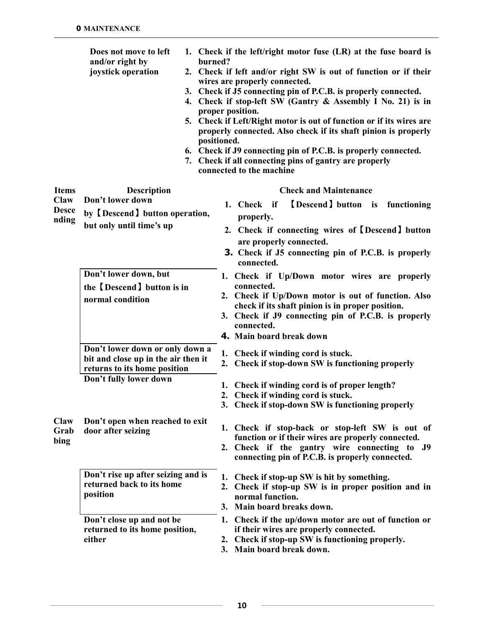|                      | Does not move to left<br>and/or right by<br>burned?<br>joystick operation                              | 1. Check if the left/right motor fuse (LR) at the fuse board is<br>2. Check if left and/or right SW is out of function or if their<br>wires are properly connected.<br>3. Check if J5 connecting pin of P.C.B. is properly connected.<br>4. Check if stop-left SW (Gantry & Assembly I No. 21) is in<br>proper position.<br>5. Check if Left/Right motor is out of function or if its wires are<br>properly connected. Also check if its shaft pinion is properly<br>positioned.<br>6. Check if J9 connecting pin of P.C.B. is properly connected.<br>7. Check if all connecting pins of gantry are properly<br>connected to the machine |
|----------------------|--------------------------------------------------------------------------------------------------------|------------------------------------------------------------------------------------------------------------------------------------------------------------------------------------------------------------------------------------------------------------------------------------------------------------------------------------------------------------------------------------------------------------------------------------------------------------------------------------------------------------------------------------------------------------------------------------------------------------------------------------------|
| <b>Items</b>         | <b>Description</b>                                                                                     | <b>Check and Maintenance</b>                                                                                                                                                                                                                                                                                                                                                                                                                                                                                                                                                                                                             |
| Claw<br><b>Desce</b> | Don't lower down<br>by <b>[Descend]</b> button operation,                                              | <b>[Descend]</b> button is functioning<br>1. Check<br>if                                                                                                                                                                                                                                                                                                                                                                                                                                                                                                                                                                                 |
| nding                | but only until time's up                                                                               | properly.<br>2. Check if connecting wires of [Descend] button                                                                                                                                                                                                                                                                                                                                                                                                                                                                                                                                                                            |
|                      |                                                                                                        | are properly connected.<br><b>3.</b> Check if J5 connecting pin of P.C.B. is properly<br>connected.                                                                                                                                                                                                                                                                                                                                                                                                                                                                                                                                      |
|                      | Don't lower down, but                                                                                  | 1. Check if Up/Down motor wires are properly                                                                                                                                                                                                                                                                                                                                                                                                                                                                                                                                                                                             |
|                      | the <b>[Descend</b> ] button is in<br>normal condition                                                 | connected.<br>2. Check if Up/Down motor is out of function. Also                                                                                                                                                                                                                                                                                                                                                                                                                                                                                                                                                                         |
|                      |                                                                                                        | check if its shaft pinion is in proper position.<br>3. Check if J9 connecting pin of P.C.B. is properly<br>connected.                                                                                                                                                                                                                                                                                                                                                                                                                                                                                                                    |
|                      |                                                                                                        | 4. Main board break down                                                                                                                                                                                                                                                                                                                                                                                                                                                                                                                                                                                                                 |
|                      | Don't lower down or only down a<br>bit and close up in the air then it<br>returns to its home position | 1. Check if winding cord is stuck.<br>2. Check if stop-down SW is functioning properly                                                                                                                                                                                                                                                                                                                                                                                                                                                                                                                                                   |
|                      | Don't fully lower down                                                                                 | 1. Check if winding cord is of proper length?                                                                                                                                                                                                                                                                                                                                                                                                                                                                                                                                                                                            |
|                      |                                                                                                        | 2. Check if winding cord is stuck.<br>3. Check if stop-down SW is functioning properly                                                                                                                                                                                                                                                                                                                                                                                                                                                                                                                                                   |
| Claw<br>Grab         | Don't open when reached to exit<br>door after seizing                                                  | 1. Check if stop-back or stop-left SW is out of<br>function or if their wires are properly connected.                                                                                                                                                                                                                                                                                                                                                                                                                                                                                                                                    |
| bing                 |                                                                                                        | 2. Check if the gantry wire connecting to J9<br>connecting pin of P.C.B. is properly connected.                                                                                                                                                                                                                                                                                                                                                                                                                                                                                                                                          |
|                      | Don't rise up after seizing and is<br>returned back to its home                                        | 1. Check if stop-up SW is hit by something.                                                                                                                                                                                                                                                                                                                                                                                                                                                                                                                                                                                              |
|                      | position                                                                                               | 2. Check if stop-up SW is in proper position and in<br>normal function.                                                                                                                                                                                                                                                                                                                                                                                                                                                                                                                                                                  |
|                      |                                                                                                        | 3. Main board breaks down.                                                                                                                                                                                                                                                                                                                                                                                                                                                                                                                                                                                                               |
|                      | Don't close up and not be<br>returned to its home position,                                            | 1. Check if the up/down motor are out of function or<br>if their wires are properly connected.                                                                                                                                                                                                                                                                                                                                                                                                                                                                                                                                           |
|                      | either                                                                                                 | 2. Check if stop-up SW is functioning properly.<br>3. Main board break down.                                                                                                                                                                                                                                                                                                                                                                                                                                                                                                                                                             |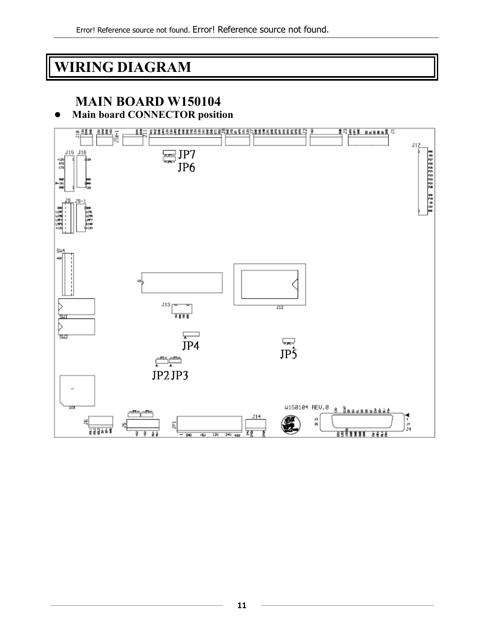# **WIRING DIAGRAM**

#### **MAIN BOARD W150104**



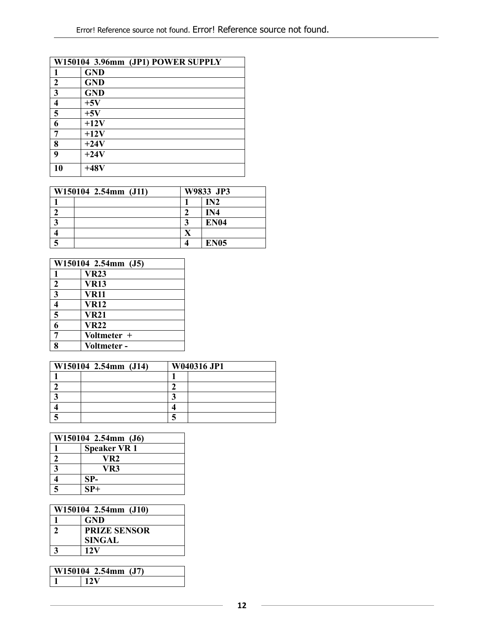|                         | W150104 3.96mm (JP1) POWER SUPPLY |
|-------------------------|-----------------------------------|
| 1                       | <b>GND</b>                        |
| $\overline{2}$          | <b>GND</b>                        |
| $\mathbf{3}$            | <b>GND</b>                        |
| $\overline{\mathbf{4}}$ | $+5V$                             |
| 5                       | $+5V$                             |
| 6                       | $+12V$                            |
| 7                       | $+12V$                            |
| 8                       | $+24V$                            |
| 9                       | $+24V$                            |
| 10                      | $+48V$                            |

| W150104 2.54mm (J11) | W9833 JP3   |
|----------------------|-------------|
|                      | IN2         |
|                      | IN4         |
|                      | <b>EN04</b> |
|                      |             |
|                      | <b>EN05</b> |

|                  | W150104 2.54mm (J5) |  |  |  |  |
|------------------|---------------------|--|--|--|--|
|                  | <b>VR23</b>         |  |  |  |  |
| $\boldsymbol{2}$ | <b>VR13</b>         |  |  |  |  |
| 3                | <b>VR11</b>         |  |  |  |  |
|                  | <b>VR12</b>         |  |  |  |  |
| 5                | <b>VR21</b>         |  |  |  |  |
| 6                | <b>VR22</b>         |  |  |  |  |
|                  | Voltmeter +         |  |  |  |  |
|                  | Voltmeter -         |  |  |  |  |

| W150104 2.54mm (J14) |  | W040316 JP1 |  |  |
|----------------------|--|-------------|--|--|
|                      |  |             |  |  |
|                      |  |             |  |  |
|                      |  |             |  |  |
|                      |  |             |  |  |
|                      |  |             |  |  |

| W150104 2.54mm (J6) |                     |  |
|---------------------|---------------------|--|
|                     | <b>Speaker VR 1</b> |  |
|                     | VR2                 |  |
|                     | VR3                 |  |
|                     | SP-                 |  |
|                     | $SP+$               |  |
|                     |                     |  |

| W150104 2.54mm (J10) |                     |  |
|----------------------|---------------------|--|
|                      | <b>GND</b>          |  |
|                      | <b>PRIZE SENSOR</b> |  |
|                      | <b>SINGAL</b>       |  |
|                      | 12V                 |  |

**W150104 2.54mm (J7) 12V**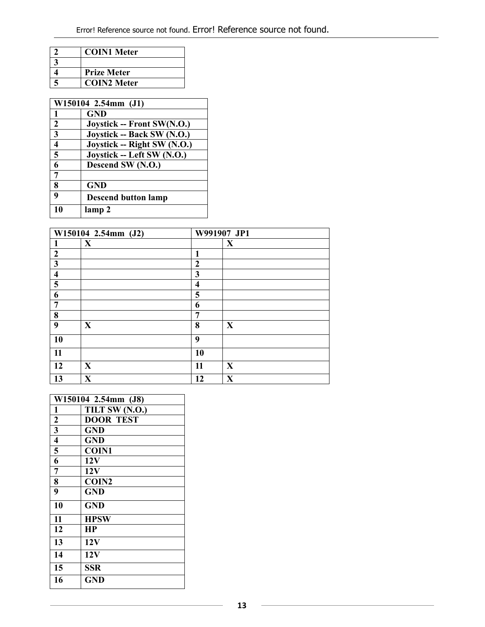| <b>COIN1 Meter</b> |
|--------------------|
|                    |
| <b>Prize Meter</b> |
| <b>COIN2 Meter</b> |

| W150104 2.54mm (J1)     |                             |  |
|-------------------------|-----------------------------|--|
|                         | <b>GND</b>                  |  |
| $\overline{2}$          | Joystick -- Front SW(N.O.)  |  |
| $\overline{\mathbf{3}}$ | Joystick -- Back SW (N.O.)  |  |
| $\overline{\mathbf{4}}$ | Joystick -- Right SW (N.O.) |  |
| $\overline{\mathbf{5}}$ | Joystick -- Left SW (N.O.)  |  |
| 6                       | Descend SW (N.O.)           |  |
| $\overline{7}$          |                             |  |
| 8                       | <b>GND</b>                  |  |
| $\mathbf Q$             | <b>Descend button lamp</b>  |  |
|                         | lamp 2                      |  |

| W150104 2.54mm (J2)     |              | W991907 JP1      |             |
|-------------------------|--------------|------------------|-------------|
| 1                       | $\mathbf X$  |                  | $\mathbf X$ |
| $\overline{2}$          |              |                  |             |
| $\mathbf{3}$            |              | $\boldsymbol{2}$ |             |
| $\overline{\mathbf{4}}$ |              | 3                |             |
| 5                       |              | 4                |             |
| 6                       |              | 5                |             |
| 7                       |              | 6                |             |
| 8                       |              | 7                |             |
| 9                       | $\mathbf X$  | 8                | $\mathbf X$ |
| 10                      |              | 9                |             |
| 11                      |              | 10               |             |
| 12                      | $\mathbf{X}$ | 11               | $\mathbf X$ |
| 13                      | $\mathbf X$  | 12               | $\mathbf X$ |

| W150104 2.54mm (J8)     |                  |  |
|-------------------------|------------------|--|
| 1                       | TILT SW (N.O.)   |  |
| $\mathbf{2}$            | <b>DOOR TEST</b> |  |
| $\overline{\mathbf{3}}$ | <b>GND</b>       |  |
| $\overline{\mathbf{4}}$ | <b>GND</b>       |  |
| 5                       | <b>COIN1</b>     |  |
| 6                       | 12V              |  |
| 7                       | 12V              |  |
| 8                       | <b>COIN2</b>     |  |
| 9                       | GND              |  |
| 10                      | GND              |  |
| 11                      | <b>HPSW</b>      |  |
| 12                      | HР               |  |
| 13                      | 12V              |  |
| 14                      | 12V              |  |
| 15                      | SSR              |  |
| 16                      | GND              |  |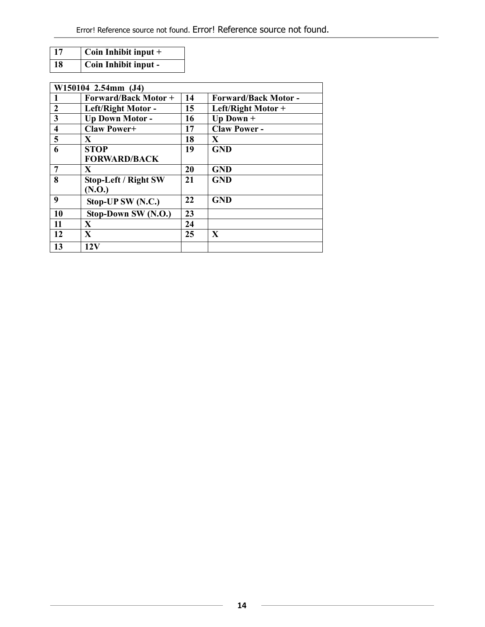**Coin Inhibit input -**

| W150104 2.54mm (J4) |                             |    |                             |
|---------------------|-----------------------------|----|-----------------------------|
|                     | <b>Forward/Back Motor +</b> | 14 | <b>Forward/Back Motor -</b> |
| $\boldsymbol{2}$    | Left/Right Motor -          | 15 | Left/Right Motor +          |
| 3                   | Up Down Motor -             | 16 | $Up$ Down +                 |
| 4                   | <b>Claw Power+</b>          | 17 | <b>Claw Power -</b>         |
| 5                   | X                           | 18 | X                           |
| 6                   | <b>STOP</b>                 | 19 | <b>GND</b>                  |
|                     | <b>FORWARD/BACK</b>         |    |                             |
| 7                   | $\mathbf X$                 | 20 | <b>GND</b>                  |
| 8                   | <b>Stop-Left / Right SW</b> | 21 | <b>GND</b>                  |
|                     | (N.O.)                      |    |                             |
| 9                   | Stop-UP SW (N.C.)           | 22 | <b>GND</b>                  |
| 10                  | Stop-Down SW (N.O.)         | 23 |                             |
| 11                  | X                           | 24 |                             |
| 12                  | X                           | 25 | X                           |
| 13                  | 12V                         |    |                             |